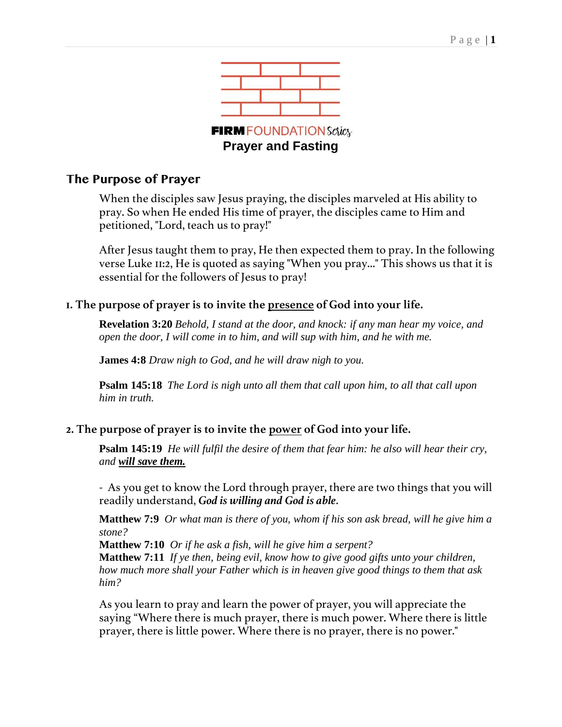

## **The Purpose of Prayer**

When the disciples saw Jesus praying, the disciples marveled at His ability to pray. So when He ended His time of prayer, the disciples came to Him and petitioned, "Lord, teach us to pray!"

After Jesus taught them to pray, He then expected them to pray. In the following verse Luke 11:2, He is quoted as saying "When you pray..." This shows us that it is essential for the followers of Jesus to pray!

## **1. The purpose of prayer is to invite the presence of God into your life.**

**Revelation 3:20** *Behold, I stand at the door, and knock: if any man hear my voice, and open the door, I will come in to him, and will sup with him, and he with me.*

**James 4:8** *Draw nigh to God, and he will draw nigh to you.*

**Psalm 145:18** *The Lord is nigh unto all them that call upon him, to all that call upon him in truth.*

## **2. The purpose of prayer is to invite the power of God into your life.**

**Psalm 145:19** *He will fulfil the desire of them that fear him: he also will hear their cry, and will save them.*

- As you get to know the Lord through prayer, there are two things that you will readily understand, *God is willing and God is able*.

**Matthew 7:9** *Or what man is there of you, whom if his son ask bread, will he give him a stone?*

**Matthew 7:10** *Or if he ask a fish, will he give him a serpent?* **Matthew 7:11** *If ye then, being evil, know how to give good gifts unto your children, how much more shall your Father which is in heaven give good things to them that ask him?*

As you learn to pray and learn the power of prayer, you will appreciate the saying "Where there is much prayer, there is much power. Where there is little prayer, there is little power. Where there is no prayer, there is no power."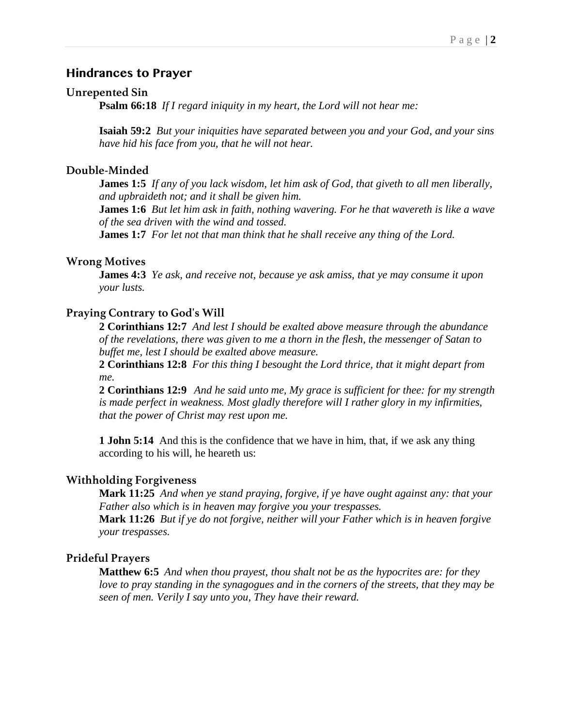### **Hindrances to Prayer**

### **Unrepented Sin**

**Psalm 66:18** *If I regard iniquity in my heart, the Lord will not hear me:*

**Isaiah 59:2** *But your iniquities have separated between you and your God, and your sins have hid his face from you, that he will not hear.*

#### **Double-Minded**

**James 1:5** *If any of you lack wisdom, let him ask of God, that giveth to all men liberally, and upbraideth not; and it shall be given him.*

**James 1:6** *But let him ask in faith, nothing wavering. For he that wavereth is like a wave of the sea driven with the wind and tossed.*

**James 1:7** *For let not that man think that he shall receive any thing of the Lord.*

#### **Wrong Motives**

**James 4:3** *Ye ask, and receive not, because ye ask amiss, that ye may consume it upon your lusts.*

#### **Praying Contrary to God's Will**

**2 Corinthians 12:7** *And lest I should be exalted above measure through the abundance of the revelations, there was given to me a thorn in the flesh, the messenger of Satan to buffet me, lest I should be exalted above measure.*

**2 Corinthians 12:8** *For this thing I besought the Lord thrice, that it might depart from me.*

**2 Corinthians 12:9** *And he said unto me, My grace is sufficient for thee: for my strength is made perfect in weakness. Most gladly therefore will I rather glory in my infirmities, that the power of Christ may rest upon me.*

**1 John 5:14** And this is the confidence that we have in him, that, if we ask any thing according to his will, he heareth us:

### **Withholding Forgiveness**

**Mark 11:25** *And when ye stand praying, forgive, if ye have ought against any: that your Father also which is in heaven may forgive you your trespasses.*

**Mark 11:26** *But if ye do not forgive, neither will your Father which is in heaven forgive your trespasses.*

#### **Prideful Prayers**

**Matthew 6:5** *And when thou prayest, thou shalt not be as the hypocrites are: for they love to pray standing in the synagogues and in the corners of the streets, that they may be seen of men. Verily I say unto you, They have their reward.*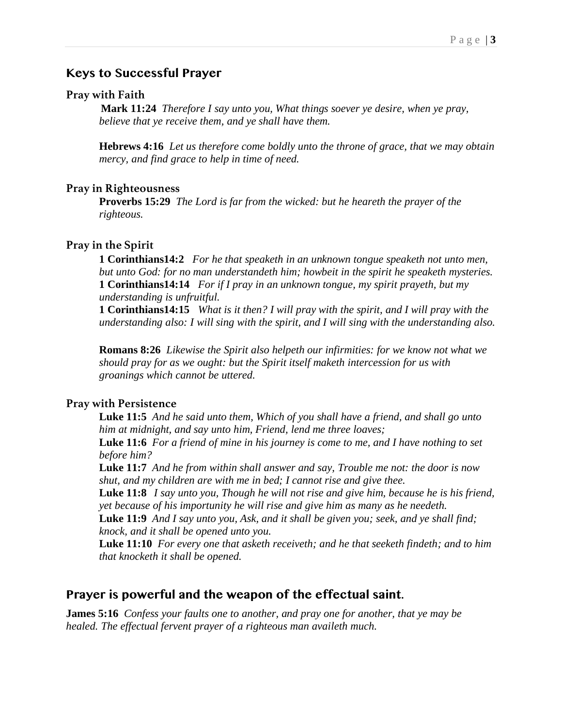## **Keys to Successful Prayer**

#### **Pray with Faith**

**Mark 11:24** *Therefore I say unto you, What things soever ye desire, when ye pray, believe that ye receive them, and ye shall have them.*

**Hebrews 4:16** *Let us therefore come boldly unto the throne of grace, that we may obtain mercy, and find grace to help in time of need.*

### **Pray in Righteousness**

**Proverbs 15:29** *The Lord is far from the wicked: but he heareth the prayer of the righteous.*

#### **Pray in the Spirit**

**1 Corinthians14:2** *For he that speaketh in an unknown tongue speaketh not unto men, but unto God: for no man understandeth him; howbeit in the spirit he speaketh mysteries.* **1 Corinthians14:14** *For if I pray in an unknown tongue, my spirit prayeth, but my understanding is unfruitful.*

**1 Corinthians14:15** *What is it then? I will pray with the spirit, and I will pray with the understanding also: I will sing with the spirit, and I will sing with the understanding also.*

**Romans 8:26** *Likewise the Spirit also helpeth our infirmities: for we know not what we should pray for as we ought: but the Spirit itself maketh intercession for us with groanings which cannot be uttered.*

### **Pray with Persistence**

**Luke 11:5** *And he said unto them, Which of you shall have a friend, and shall go unto him at midnight, and say unto him, Friend, lend me three loaves;*

**Luke 11:6** *For a friend of mine in his journey is come to me, and I have nothing to set before him?*

**Luke 11:7** *And he from within shall answer and say, Trouble me not: the door is now shut, and my children are with me in bed; I cannot rise and give thee.*

**Luke 11:8** *I say unto you, Though he will not rise and give him, because he is his friend, yet because of his importunity he will rise and give him as many as he needeth.*

**Luke 11:9** *And I say unto you, Ask, and it shall be given you; seek, and ye shall find; knock, and it shall be opened unto you.*

**Luke 11:10** *For every one that asketh receiveth; and he that seeketh findeth; and to him that knocketh it shall be opened.*

## **Prayer is powerful and the weapon of the effectual saint.**

**James 5:16** *Confess your faults one to another, and pray one for another, that ye may be healed. The effectual fervent prayer of a righteous man availeth much.*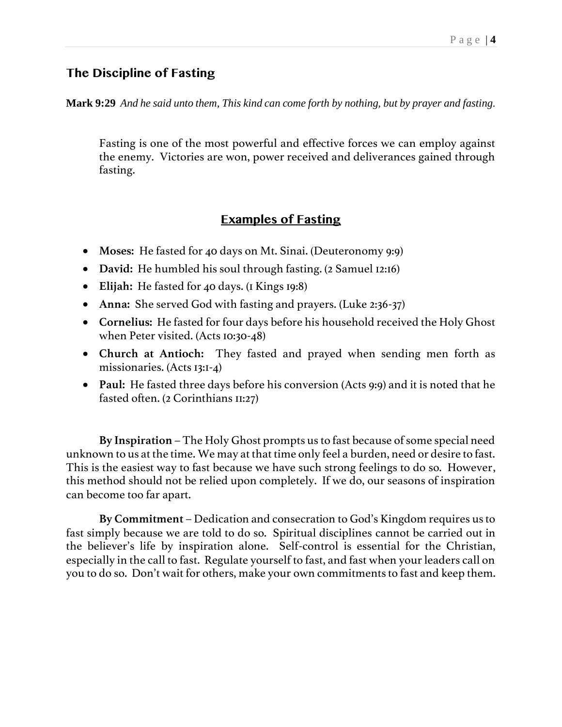## **The Discipline of Fasting**

**Mark 9:29** *And he said unto them, This kind can come forth by nothing, but by prayer and fasting.*

Fasting is one of the most powerful and effective forces we can employ against the enemy. Victories are won, power received and deliverances gained through fasting.

# **Examples of Fasting**

- **Moses:** He fasted for 40 days on Mt. Sinai. (Deuteronomy 9:9)
- **David:** He humbled his soul through fasting. (2 Samuel 12:16)
- **Elijah:** He fasted for 40 days. (1 Kings 19:8)
- **Anna:** She served God with fasting and prayers. (Luke 2:36-37)
- **Cornelius:** He fasted for four days before his household received the Holy Ghost when Peter visited. (Acts 10:30-48)
- **Church at Antioch:** They fasted and prayed when sending men forth as missionaries. (Acts 13:1-4)
- **Paul:** He fasted three days before his conversion (Acts 9:9) and it is noted that he fasted often. (2 Corinthians 11:27)

**By Inspiration** – The Holy Ghost prompts us to fast because of some special need unknown to us at the time. We may at that time only feel a burden, need or desire to fast. This is the easiest way to fast because we have such strong feelings to do so. However, this method should not be relied upon completely. If we do, our seasons of inspiration can become too far apart.

**By Commitment** – Dedication and consecration to God's Kingdom requires us to fast simply because we are told to do so. Spiritual disciplines cannot be carried out in the believer's life by inspiration alone. Self-control is essential for the Christian, especially in the call to fast. Regulate yourself to fast, and fast when your leaders call on you to do so. Don't wait for others, make your own commitments to fast and keep them.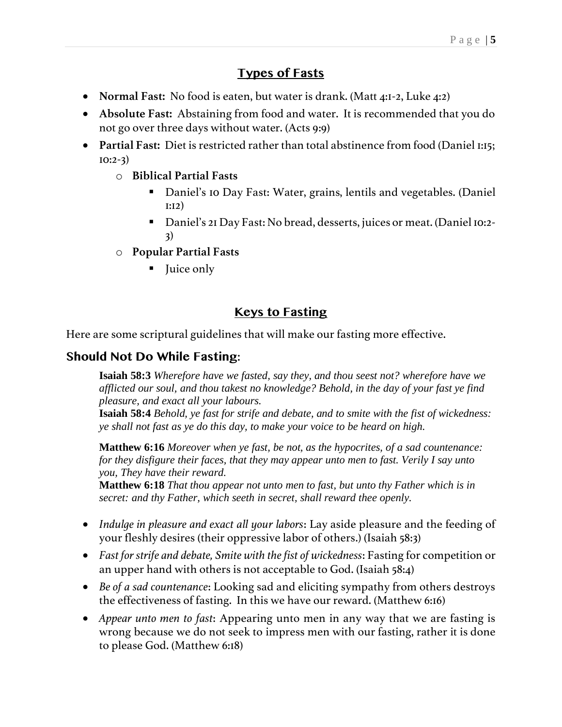# **Types of Fasts**

- **Normal Fast:** No food is eaten, but water is drank. (Matt 4:1-2, Luke 4:2)
- **Absolute Fast:** Abstaining from food and water. It is recommended that you do not go over three days without water. (Acts 9:9)
- **Partial Fast:** Diet is restricted rather than total abstinence from food (Daniel 1:15; 10:2-3)
	- o **Biblical Partial Fasts**
		- Daniel's 10 Day Fast: Water, grains, lentils and vegetables. (Daniel 1:12)
		- Daniel's 21 Day Fast: No bread, desserts, juices or meat. (Daniel 10:2- 3)
	- o **Popular Partial Fasts**
		- Juice only

# **Keys to Fasting**

Here are some scriptural guidelines that will make our fasting more effective.

# **Should Not Do While Fasting:**

**Isaiah 58:3** *Wherefore have we fasted, say they, and thou seest not? wherefore have we afflicted our soul, and thou takest no knowledge? Behold, in the day of your fast ye find pleasure, and exact all your labours.*

**Isaiah 58:4** *Behold, ye fast for strife and debate, and to smite with the fist of wickedness: ye shall not fast as ye do this day, to make your voice to be heard on high.*

**Matthew 6:16** *Moreover when ye fast, be not, as the hypocrites, of a sad countenance: for they disfigure their faces, that they may appear unto men to fast. Verily I say unto you, They have their reward.*

**Matthew 6:18** *That thou appear not unto men to fast, but unto thy Father which is in secret: and thy Father, which seeth in secret, shall reward thee openly.*

- *Indulge in pleasure and exact all your labors*: Lay aside pleasure and the feeding of your fleshly desires (their oppressive labor of others.) (Isaiah 58:3)
- *Fast for strife and debate, Smite with the fist of wickedness*: Fasting for competition or an upper hand with others is not acceptable to God. (Isaiah 58:4)
- *Be of a sad countenance*: Looking sad and eliciting sympathy from others destroys the effectiveness of fasting. In this we have our reward. (Matthew 6:16)
- *Appear unto men to fast*: Appearing unto men in any way that we are fasting is wrong because we do not seek to impress men with our fasting, rather it is done to please God. (Matthew 6:18)